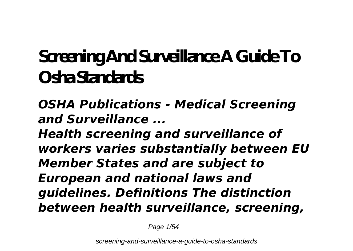# **Screening And Surveillance A Guide To Osha Standards**

*OSHA Publications - Medical Screening and Surveillance ... Health screening and surveillance of workers varies substantially between EU Member States and are subject to European and national laws and guidelines. Definitions The distinction between health surveillance, screening,*

Page 1/54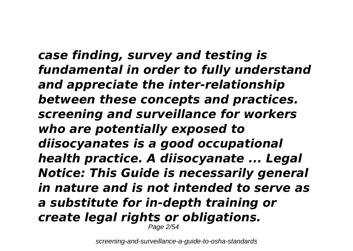*case finding, survey and testing is fundamental in order to fully understand and appreciate the inter-relationship between these concepts and practices. screening and surveillance for workers who are potentially exposed to diisocyanates is a good occupational health practice. A diisocyanate ... Legal Notice: This Guide is necessarily general in nature and is not intended to serve as a substitute for in-depth training or create legal rights or obligations.* Page 2/54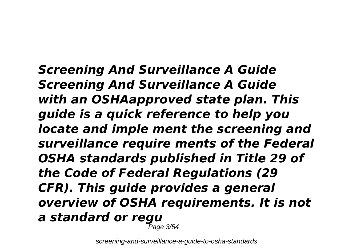*Screening And Surveillance A Guide Screening And Surveillance A Guide with an OSHAapproved state plan. This guide is a quick reference to help you locate and imple ment the screening and surveillance require ments of the Federal OSHA standards published in Title 29 of the Code of Federal Regulations (29 CFR). This guide provides a general overview of OSHA requirements. It is not a standard or regu* Page 3/54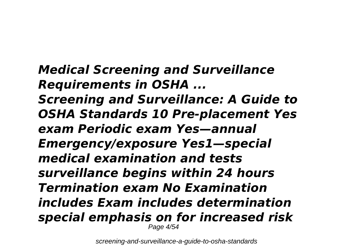*Medical Screening and Surveillance Requirements in OSHA ... Screening and Surveillance: A Guide to OSHA Standards 10 Pre-placement Yes exam Periodic exam Yes—annual Emergency/exposure Yes1—special medical examination and tests surveillance begins within 24 hours Termination exam No Examination includes Exam includes determination special emphasis on for increased risk* Page 4/54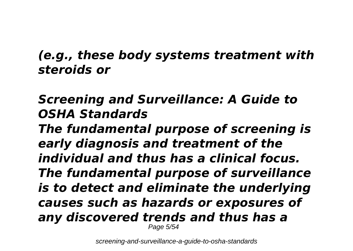# *(e.g., these body systems treatment with steroids or*

# *Screening and Surveillance: A Guide to OSHA Standards The fundamental purpose of screening is early diagnosis and treatment of the individual and thus has a clinical focus. The fundamental purpose of surveillance is to detect and eliminate the underlying*

*causes such as hazards or exposures of any discovered trends and thus has a* Page 5/54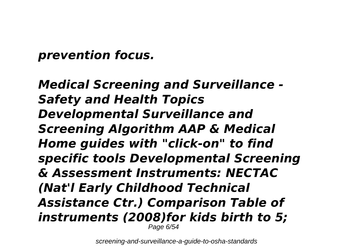*prevention focus.*

*Medical Screening and Surveillance - Safety and Health Topics Developmental Surveillance and Screening Algorithm AAP & Medical Home guides with "click-on" to find specific tools Developmental Screening & Assessment Instruments: NECTAC (Nat'l Early Childhood Technical Assistance Ctr.) Comparison Table of instruments (2008)for kids birth to 5;* Page 6/54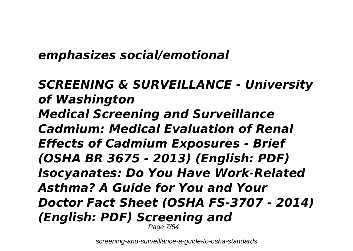### *emphasizes social/emotional*

### *SCREENING & SURVEILLANCE - University of Washington Medical Screening and Surveillance Cadmium: Medical Evaluation of Renal Effects of Cadmium Exposures - Brief (OSHA BR 3675 - 2013) (English: PDF) Isocyanates: Do You Have Work-Related Asthma? A Guide for You and Your Doctor Fact Sheet (OSHA FS-3707 - 2014) (English: PDF) Screening and* Page 7/54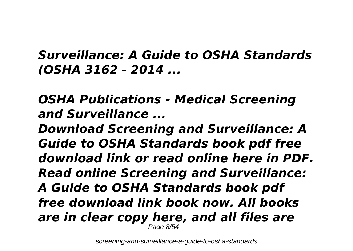# *Surveillance: A Guide to OSHA Standards (OSHA 3162 - 2014 ...*

# *OSHA Publications - Medical Screening and Surveillance ...*

*Download Screening and Surveillance: A Guide to OSHA Standards book pdf free download link or read online here in PDF. Read online Screening and Surveillance: A Guide to OSHA Standards book pdf free download link book now. All books are in clear copy here, and all files are* Page 8/54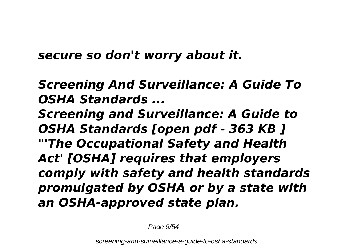*secure so don't worry about it.*

# *Screening And Surveillance: A Guide To OSHA Standards ...*

*Screening and Surveillance: A Guide to OSHA Standards [open pdf - 363 KB ] "'The Occupational Safety and Health Act' [OSHA] requires that employers comply with safety and health standards promulgated by OSHA or by a state with an OSHA-approved state plan.*

Page  $9/54$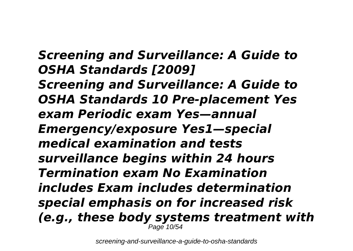*Screening and Surveillance: A Guide to OSHA Standards [2009] Screening and Surveillance: A Guide to OSHA Standards 10 Pre-placement Yes exam Periodic exam Yes—annual Emergency/exposure Yes1—special medical examination and tests surveillance begins within 24 hours Termination exam No Examination includes Exam includes determination special emphasis on for increased risk (e.g., these body systems treatment with* Page 10/54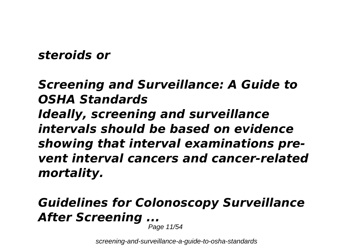#### *steroids or*

# *Screening and Surveillance: A Guide to OSHA Standards Ideally, screening and surveillance intervals should be based on evidence showing that interval examinations prevent interval cancers and cancer-related mortality.*

# *Guidelines for Colonoscopy Surveillance After Screening ...*

Page 11/54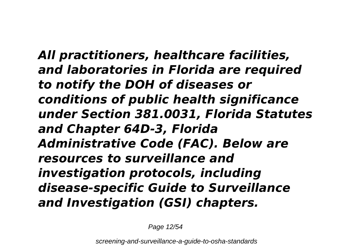*All practitioners, healthcare facilities, and laboratories in Florida are required to notify the DOH of diseases or conditions of public health significance under Section 381.0031, Florida Statutes and Chapter 64D-3, Florida Administrative Code (FAC). Below are resources to surveillance and investigation protocols, including disease-specific Guide to Surveillance and Investigation (GSI) chapters.*

Page 12/54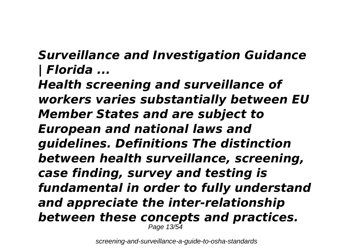# *Surveillance and Investigation Guidance | Florida ...*

*Health screening and surveillance of workers varies substantially between EU Member States and are subject to European and national laws and guidelines. Definitions The distinction between health surveillance, screening, case finding, survey and testing is fundamental in order to fully understand and appreciate the inter-relationship between these concepts and practices.* Page 13/54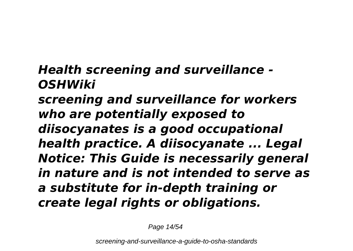# *Health screening and surveillance - OSHWiki*

*screening and surveillance for workers who are potentially exposed to diisocyanates is a good occupational health practice. A diisocyanate ... Legal Notice: This Guide is necessarily general in nature and is not intended to serve as a substitute for in-depth training or create legal rights or obligations.*

Page 14/54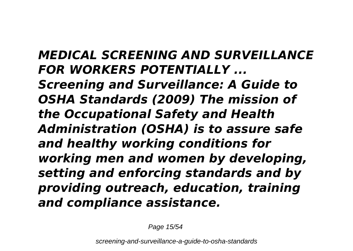*MEDICAL SCREENING AND SURVEILLANCE FOR WORKERS POTENTIALLY ... Screening and Surveillance: A Guide to OSHA Standards (2009) The mission of the Occupational Safety and Health Administration (OSHA) is to assure safe and healthy working conditions for working men and women by developing, setting and enforcing standards and by providing outreach, education, training and compliance assistance.*

Page 15/54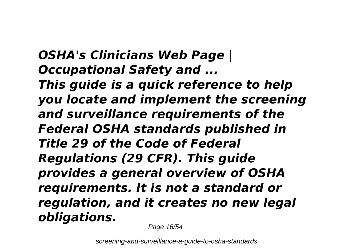*OSHA's Clinicians Web Page | Occupational Safety and ... This guide is a quick reference to help you locate and implement the screening and surveillance requirements of the Federal OSHA standards published in Title 29 of the Code of Federal Regulations (29 CFR). This guide provides a general overview of OSHA requirements. It is not a standard or regulation, and it creates no new legal obligations.*

Page 16/54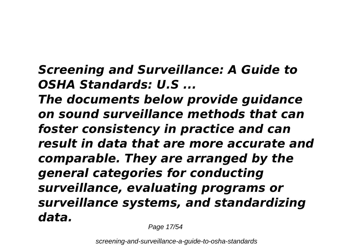# *Screening and Surveillance: A Guide to OSHA Standards: U.S ...*

*The documents below provide guidance on sound surveillance methods that can foster consistency in practice and can result in data that are more accurate and comparable. They are arranged by the general categories for conducting surveillance, evaluating programs or surveillance systems, and standardizing data.*

Page 17/54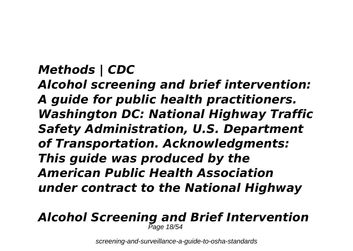*Methods | CDC Alcohol screening and brief intervention: A guide for public health practitioners. Washington DC: National Highway Traffic Safety Administration, U.S. Department of Transportation. Acknowledgments: This guide was produced by the American Public Health Association under contract to the National Highway*

#### *Alcohol Screening and Brief Intervention* Page 18/54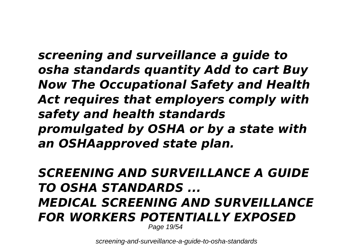*screening and surveillance a guide to osha standards quantity Add to cart Buy Now The Occupational Safety and Health Act requires that employers comply with safety and health standards promulgated by OSHA or by a state with an OSHAapproved state plan.*

#### *SCREENING AND SURVEILLANCE A GUIDE TO OSHA STANDARDS ... MEDICAL SCREENING AND SURVEILLANCE FOR WORKERS POTENTIALLY EXPOSED* Page 19/54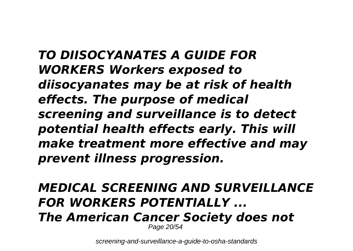*TO DIISOCYANATES A GUIDE FOR WORKERS Workers exposed to diisocyanates may be at risk of health effects. The purpose of medical screening and surveillance is to detect potential health effects early. This will make treatment more effective and may prevent illness progression.*

#### *MEDICAL SCREENING AND SURVEILLANCE FOR WORKERS POTENTIALLY ... The American Cancer Society does not*

Page 20/54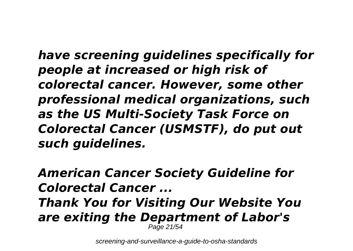*have screening guidelines specifically for people at increased or high risk of colorectal cancer. However, some other professional medical organizations, such as the US Multi-Society Task Force on Colorectal Cancer (USMSTF), do put out such guidelines.*

*American Cancer Society Guideline for Colorectal Cancer ... Thank You for Visiting Our Website You are exiting the Department of Labor's* Page 21/54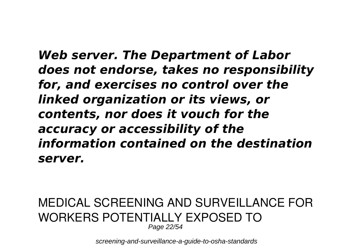*Web server. The Department of Labor does not endorse, takes no responsibility for, and exercises no control over the linked organization or its views, or contents, nor does it vouch for the accuracy or accessibility of the information contained on the destination server.*

#### MEDICAL SCREENING AND SURVEILLANCE FOR WORKERS POTENTIALLY EXPOSED TO Page 22/54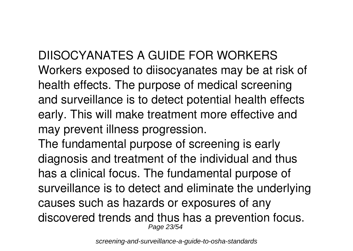DIISOCYANATES A GUIDE FOR WORKERS Workers exposed to diisocyanates may be at risk of health effects. The purpose of medical screening and surveillance is to detect potential health effects early. This will make treatment more effective and may prevent illness progression.

The fundamental purpose of screening is early diagnosis and treatment of the individual and thus has a clinical focus. The fundamental purpose of surveillance is to detect and eliminate the underlying causes such as hazards or exposures of any discovered trends and thus has a prevention focus. Page 23/54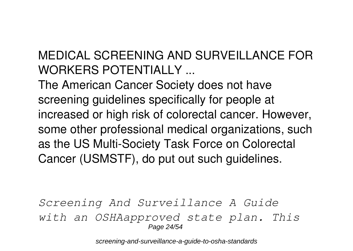# **MEDICAL SCREENING AND SURVEILLANCE FOR WORKERS POTENTIALLY ...**

The American Cancer Society does not have screening guidelines specifically for people at increased or high risk of colorectal cancer. However, some other professional medical organizations, such as the US Multi-Society Task Force on Colorectal Cancer (USMSTF), do put out such guidelines.

*Screening And Surveillance A Guide with an OSHAapproved state plan. This* Page 24/54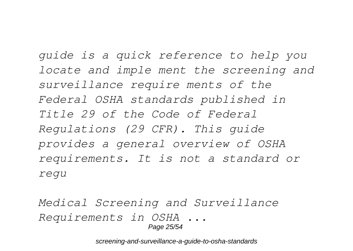*guide is a quick reference to help you locate and imple ment the screening and surveillance require ments of the Federal OSHA standards published in Title 29 of the Code of Federal Regulations (29 CFR). This guide provides a general overview of OSHA requirements. It is not a standard or regu*

*Medical Screening and Surveillance Requirements in OSHA ...* Page 25/54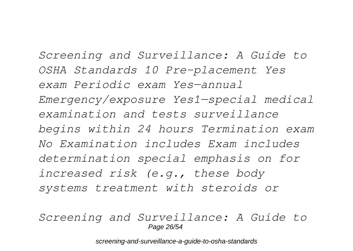*Screening and Surveillance: A Guide to OSHA Standards 10 Pre-placement Yes exam Periodic exam Yes—annual Emergency/exposure Yes1—special medical examination and tests surveillance begins within 24 hours Termination exam No Examination includes Exam includes determination special emphasis on for increased risk (e.g., these body systems treatment with steroids or*

*Screening and Surveillance: A Guide to* Page 26/54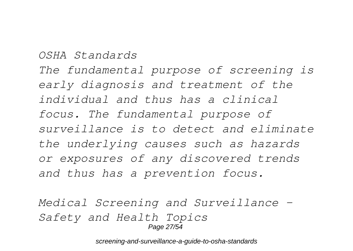*OSHA Standards The fundamental purpose of screening is early diagnosis and treatment of the individual and thus has a clinical focus. The fundamental purpose of surveillance is to detect and eliminate the underlying causes such as hazards or exposures of any discovered trends and thus has a prevention focus.*

*Medical Screening and Surveillance - Safety and Health Topics* Page 27/54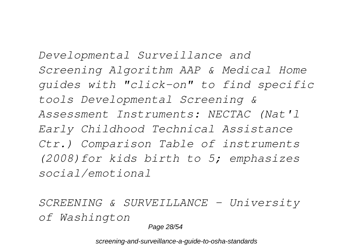*Developmental Surveillance and Screening Algorithm AAP & Medical Home guides with "click-on" to find specific tools Developmental Screening & Assessment Instruments: NECTAC (Nat'l Early Childhood Technical Assistance Ctr.) Comparison Table of instruments (2008)for kids birth to 5; emphasizes social/emotional*

*SCREENING & SURVEILLANCE - University of Washington*

Page 28/54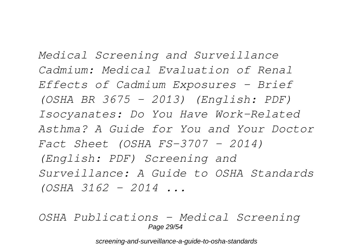*Medical Screening and Surveillance Cadmium: Medical Evaluation of Renal Effects of Cadmium Exposures - Brief (OSHA BR 3675 - 2013) (English: PDF) Isocyanates: Do You Have Work-Related Asthma? A Guide for You and Your Doctor Fact Sheet (OSHA FS-3707 - 2014) (English: PDF) Screening and Surveillance: A Guide to OSHA Standards (OSHA 3162 - 2014 ...*

*OSHA Publications - Medical Screening* Page 29/54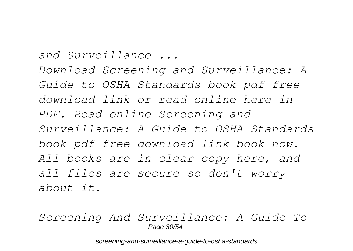*and Surveillance ...*

*Download Screening and Surveillance: A Guide to OSHA Standards book pdf free download link or read online here in PDF. Read online Screening and Surveillance: A Guide to OSHA Standards book pdf free download link book now. All books are in clear copy here, and all files are secure so don't worry about it.*

*Screening And Surveillance: A Guide To* Page 30/54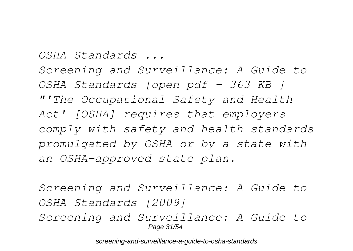*OSHA Standards ... Screening and Surveillance: A Guide to OSHA Standards [open pdf - 363 KB ] "'The Occupational Safety and Health Act' [OSHA] requires that employers comply with safety and health standards promulgated by OSHA or by a state with an OSHA-approved state plan.*

*Screening and Surveillance: A Guide to OSHA Standards [2009] Screening and Surveillance: A Guide to* Page 31/54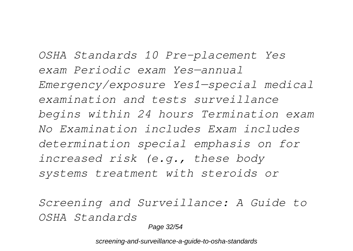*OSHA Standards 10 Pre-placement Yes exam Periodic exam Yes—annual Emergency/exposure Yes1—special medical examination and tests surveillance begins within 24 hours Termination exam No Examination includes Exam includes determination special emphasis on for increased risk (e.g., these body systems treatment with steroids or*

*Screening and Surveillance: A Guide to OSHA Standards*

Page 32/54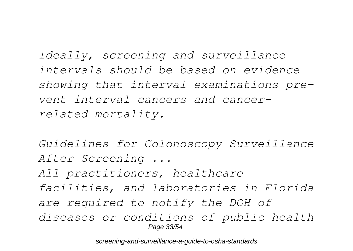*Ideally, screening and surveillance intervals should be based on evidence showing that interval examinations prevent interval cancers and cancerrelated mortality.*

*Guidelines for Colonoscopy Surveillance After Screening ... All practitioners, healthcare facilities, and laboratories in Florida are required to notify the DOH of diseases or conditions of public health* Page 33/54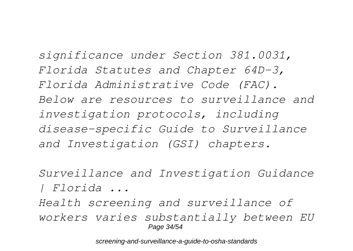*significance under Section 381.0031, Florida Statutes and Chapter 64D-3, Florida Administrative Code (FAC). Below are resources to surveillance and investigation protocols, including disease-specific Guide to Surveillance and Investigation (GSI) chapters.*

*Surveillance and Investigation Guidance | Florida ...*

*Health screening and surveillance of workers varies substantially between EU* Page 34/54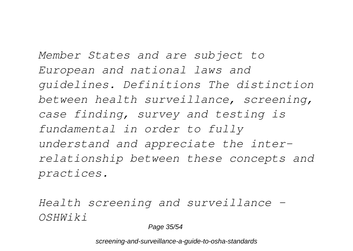*Member States and are subject to European and national laws and guidelines. Definitions The distinction between health surveillance, screening, case finding, survey and testing is fundamental in order to fully understand and appreciate the interrelationship between these concepts and practices.*

*Health screening and surveillance - OSHWiki*

Page 35/54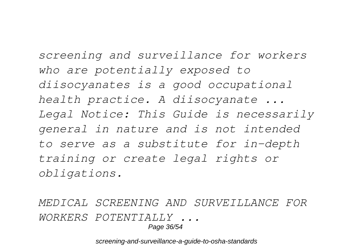*screening and surveillance for workers who are potentially exposed to diisocyanates is a good occupational health practice. A diisocyanate ... Legal Notice: This Guide is necessarily general in nature and is not intended to serve as a substitute for in-depth training or create legal rights or obligations.*

*MEDICAL SCREENING AND SURVEILLANCE FOR WORKERS POTENTIALLY ...* Page 36/54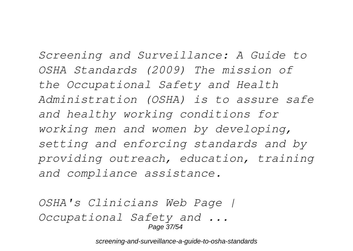*Screening and Surveillance: A Guide to OSHA Standards (2009) The mission of the Occupational Safety and Health Administration (OSHA) is to assure safe and healthy working conditions for working men and women by developing, setting and enforcing standards and by providing outreach, education, training and compliance assistance.*

*OSHA's Clinicians Web Page | Occupational Safety and ...* Page 37/54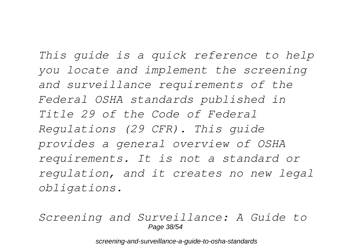*This guide is a quick reference to help you locate and implement the screening and surveillance requirements of the Federal OSHA standards published in Title 29 of the Code of Federal Regulations (29 CFR). This guide provides a general overview of OSHA requirements. It is not a standard or regulation, and it creates no new legal obligations.*

#### *Screening and Surveillance: A Guide to* Page 38/54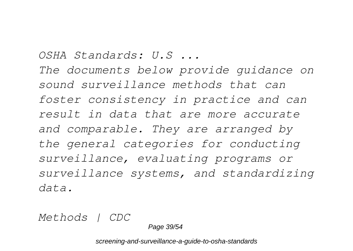*OSHA Standards: U.S ...*

*The documents below provide guidance on sound surveillance methods that can foster consistency in practice and can result in data that are more accurate and comparable. They are arranged by the general categories for conducting surveillance, evaluating programs or surveillance systems, and standardizing data.*

*Methods | CDC*

Page 39/54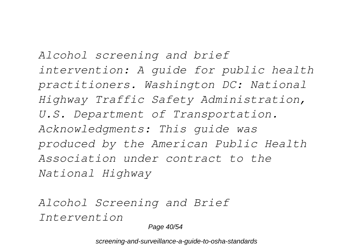*Alcohol screening and brief intervention: A guide for public health practitioners. Washington DC: National Highway Traffic Safety Administration, U.S. Department of Transportation. Acknowledgments: This guide was produced by the American Public Health Association under contract to the National Highway*

*Alcohol Screening and Brief Intervention*

Page 40/54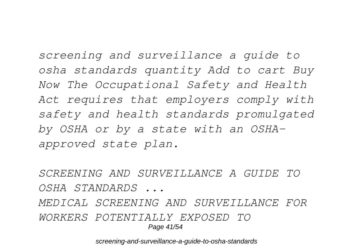*screening and surveillance a guide to osha standards quantity Add to cart Buy Now The Occupational Safety and Health Act requires that employers comply with safety and health standards promulgated by OSHA or by a state with an OSHAapproved state plan.*

*SCREENING AND SURVEILLANCE A GUIDE TO OSHA STANDARDS ...*

*MEDICAL SCREENING AND SURVEILLANCE FOR WORKERS POTENTIALLY EXPOSED TO* Page 41/54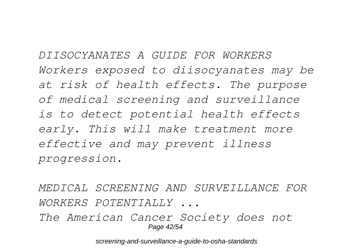*DIISOCYANATES A GUIDE FOR WORKERS Workers exposed to diisocyanates may be at risk of health effects. The purpose of medical screening and surveillance is to detect potential health effects early. This will make treatment more effective and may prevent illness progression.*

*MEDICAL SCREENING AND SURVEILLANCE FOR WORKERS POTENTIALLY ... The American Cancer Society does not* Page 42/54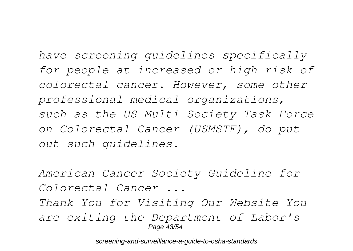*have screening guidelines specifically for people at increased or high risk of colorectal cancer. However, some other professional medical organizations, such as the US Multi-Society Task Force on Colorectal Cancer (USMSTF), do put out such guidelines.*

*American Cancer Society Guideline for Colorectal Cancer ... Thank You for Visiting Our Website You are exiting the Department of Labor's* Page 43/54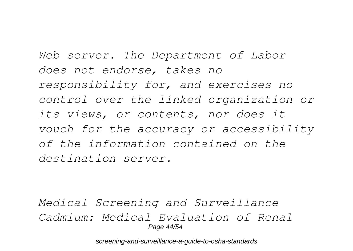*Web server. The Department of Labor does not endorse, takes no responsibility for, and exercises no control over the linked organization or its views, or contents, nor does it vouch for the accuracy or accessibility of the information contained on the destination server.*

*Medical Screening and Surveillance Cadmium: Medical Evaluation of Renal* Page 44/54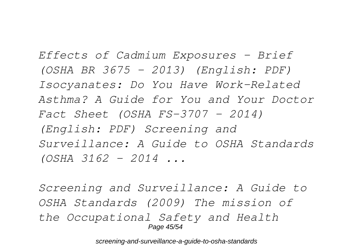*Effects of Cadmium Exposures - Brief (OSHA BR 3675 - 2013) (English: PDF) Isocyanates: Do You Have Work-Related Asthma? A Guide for You and Your Doctor Fact Sheet (OSHA FS-3707 - 2014) (English: PDF) Screening and Surveillance: A Guide to OSHA Standards (OSHA 3162 - 2014 ...*

*Screening and Surveillance: A Guide to OSHA Standards (2009) The mission of the Occupational Safety and Health* Page 45/54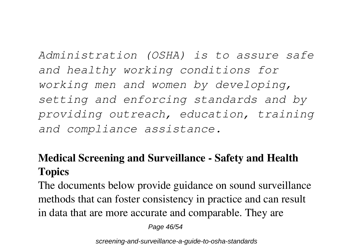*Administration (OSHA) is to assure safe and healthy working conditions for working men and women by developing, setting and enforcing standards and by providing outreach, education, training and compliance assistance.*

#### **Medical Screening and Surveillance - Safety and Health Topics**

The documents below provide guidance on sound surveillance methods that can foster consistency in practice and can result in data that are more accurate and comparable. They are

Page 46/54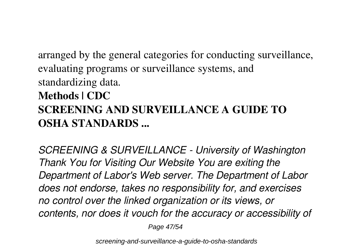arranged by the general categories for conducting surveillance, evaluating programs or surveillance systems, and standardizing data. **Methods | CDC SCREENING AND SURVEILLANCE A GUIDE TO OSHA STANDARDS ...**

*SCREENING & SURVEILLANCE - University of Washington Thank You for Visiting Our Website You are exiting the Department of Labor's Web server. The Department of Labor does not endorse, takes no responsibility for, and exercises no control over the linked organization or its views, or contents, nor does it vouch for the accuracy or accessibility of*

Page 47/54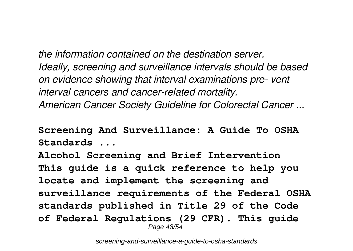*the information contained on the destination server. Ideally, screening and surveillance intervals should be based on evidence showing that interval examinations pre- vent interval cancers and cancer-related mortality. American Cancer Society Guideline for Colorectal Cancer ...*

**Screening And Surveillance: A Guide To OSHA Standards ...**

**Alcohol Screening and Brief Intervention This guide is a quick reference to help you locate and implement the screening and surveillance requirements of the Federal OSHA standards published in Title 29 of the Code of Federal Regulations (29 CFR). This guide** Page 48/54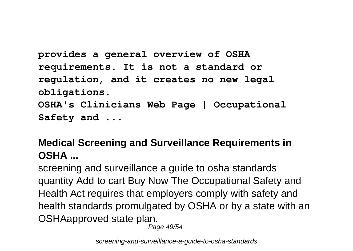```
provides a general overview of OSHA
requirements. It is not a standard or
regulation, and it creates no new legal
obligations.
OSHA's Clinicians Web Page | Occupational
Safety and ...
```
#### **Medical Screening and Surveillance Requirements in OSHA ...**

screening and surveillance a guide to osha standards quantity Add to cart Buy Now The Occupational Safety and Health Act requires that employers comply with safety and health standards promulgated by OSHA or by a state with an OSHAapproved state plan. Page 49/54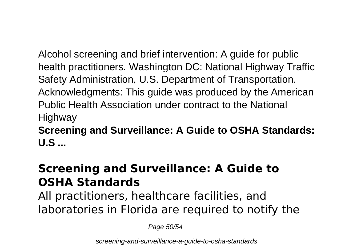Alcohol screening and brief intervention: A guide for public health practitioners. Washington DC: National Highway Traffic Safety Administration, U.S. Department of Transportation. Acknowledgments: This guide was produced by the American Public Health Association under contract to the National **Highway** 

#### **Screening and Surveillance: A Guide to OSHA Standards: U.S ...**

#### **Screening and Surveillance: A Guide to OSHA Standards**

All practitioners, healthcare facilities, and laboratories in Florida are required to notify the

Page 50/54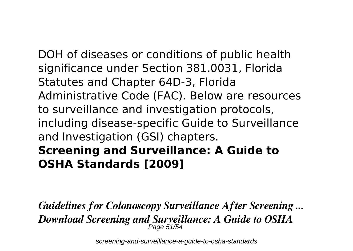DOH of diseases or conditions of public health significance under Section 381.0031, Florida Statutes and Chapter 64D-3, Florida Administrative Code (FAC). Below are resources to surveillance and investigation protocols, including disease-specific Guide to Surveillance and Investigation (GSI) chapters. **Screening and Surveillance: A Guide to OSHA Standards [2009]**

*Guidelines for Colonoscopy Surveillance After Screening ... Download Screening and Surveillance: A Guide to OSHA* Page 51/54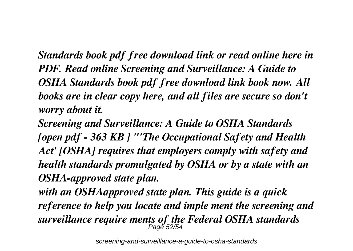*Standards book pdf free download link or read online here in PDF. Read online Screening and Surveillance: A Guide to OSHA Standards book pdf free download link book now. All books are in clear copy here, and all files are secure so don't worry about it.*

*Screening and Surveillance: A Guide to OSHA Standards [open pdf - 363 KB ] "'The Occupational Safety and Health Act' [OSHA] requires that employers comply with safety and health standards promulgated by OSHA or by a state with an OSHA-approved state plan.*

*with an OSHAapproved state plan. This guide is a quick reference to help you locate and imple ment the screening and surveillance require ments of the Federal OSHA standards* Page 52/54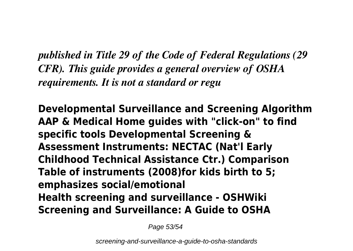*published in Title 29 of the Code of Federal Regulations (29 CFR). This guide provides a general overview of OSHA requirements. It is not a standard or regu*

**Developmental Surveillance and Screening Algorithm AAP & Medical Home guides with "click-on" to find specific tools Developmental Screening & Assessment Instruments: NECTAC (Nat'l Early Childhood Technical Assistance Ctr.) Comparison Table of instruments (2008)for kids birth to 5; emphasizes social/emotional Health screening and surveillance - OSHWiki Screening and Surveillance: A Guide to OSHA**

Page 53/54